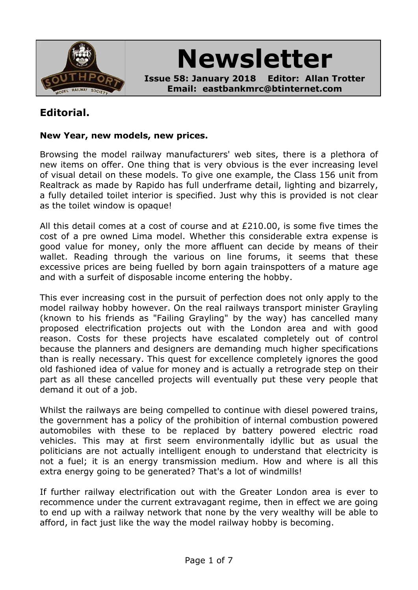

**Newsletter**

**Issue 58: January 2018 Editor: Allan Trotter Email: eastbankmrc@btinternet.com**

## **Editorial.**

#### **New Year, new models, new prices.**

Browsing the model railway manufacturers' web sites, there is a plethora of new items on offer. One thing that is very obvious is the ever increasing level of visual detail on these models. To give one example, the Class 156 unit from Realtrack as made by Rapido has full underframe detail, lighting and bizarrely, a fully detailed toilet interior is specified. Just why this is provided is not clear as the toilet window is opaque!

All this detail comes at a cost of course and at £210.00, is some five times the cost of a pre owned Lima model. Whether this considerable extra expense is good value for money, only the more affluent can decide by means of their wallet. Reading through the various on line forums, it seems that these excessive prices are being fuelled by born again trainspotters of a mature age and with a surfeit of disposable income entering the hobby.

This ever increasing cost in the pursuit of perfection does not only apply to the model railway hobby however. On the real railways transport minister Grayling (known to his friends as "Failing Grayling" by the way) has cancelled many proposed electrification projects out with the London area and with good reason. Costs for these projects have escalated completely out of control because the planners and designers are demanding much higher specifications than is really necessary. This quest for excellence completely ignores the good old fashioned idea of value for money and is actually a retrograde step on their part as all these cancelled projects will eventually put these very people that demand it out of a job.

Whilst the railways are being compelled to continue with diesel powered trains, the government has a policy of the prohibition of internal combustion powered automobiles with these to be replaced by battery powered electric road vehicles. This may at first seem environmentally idyllic but as usual the politicians are not actually intelligent enough to understand that electricity is not a fuel; it is an energy transmission medium. How and where is all this extra energy going to be generated? That's a lot of windmills!

If further railway electrification out with the Greater London area is ever to recommence under the current extravagant regime, then in effect we are going to end up with a railway network that none by the very wealthy will be able to afford, in fact just like the way the model railway hobby is becoming.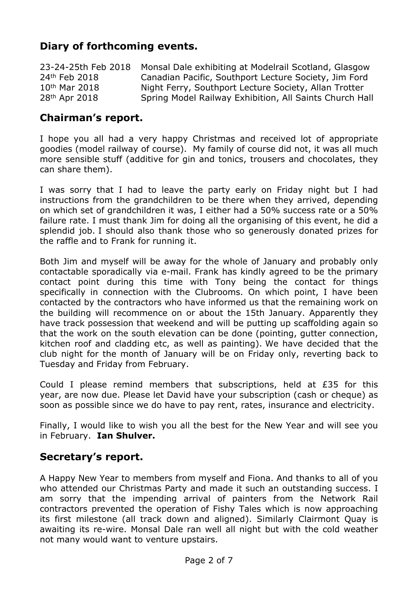# **Diary of forthcoming events.**

| 23-24-25th Feb 2018       | Monsal Dale exhibiting at Modelrail Scotland, Glasgow   |
|---------------------------|---------------------------------------------------------|
| 24th Feb 2018             | Canadian Pacific, Southport Lecture Society, Jim Ford   |
| 10 <sup>th</sup> Mar 2018 | Night Ferry, Southport Lecture Society, Allan Trotter   |
| 28 <sup>th</sup> Apr 2018 | Spring Model Railway Exhibition, All Saints Church Hall |

### **Chairman's report.**

I hope you all had a very happy Christmas and received lot of appropriate goodies (model railway of course). My family of course did not, it was all much more sensible stuff (additive for gin and tonics, trousers and chocolates, they can share them).

I was sorry that I had to leave the party early on Friday night but I had instructions from the grandchildren to be there when they arrived, depending on which set of grandchildren it was, I either had a 50% success rate or a 50% failure rate. I must thank Jim for doing all the organising of this event, he did a splendid job. I should also thank those who so generously donated prizes for the raffle and to Frank for running it.

Both Jim and myself will be away for the whole of January and probably only contactable sporadically via e-mail. Frank has kindly agreed to be the primary contact point during this time with Tony being the contact for things specifically in connection with the Clubrooms. On which point, I have been contacted by the contractors who have informed us that the remaining work on the building will recommence on or about the 15th January. Apparently they have track possession that weekend and will be putting up scaffolding again so that the work on the south elevation can be done (pointing, gutter connection, kitchen roof and cladding etc, as well as painting). We have decided that the club night for the month of January will be on Friday only, reverting back to Tuesday and Friday from February.

Could I please remind members that subscriptions, held at £35 for this year, are now due. Please let David have your subscription (cash or cheque) as soon as possible since we do have to pay rent, rates, insurance and electricity.

Finally, I would like to wish you all the best for the New Year and will see you in February. **Ian Shulver.**

## **Secretary's report.**

A Happy New Year to members from myself and Fiona. And thanks to all of you who attended our Christmas Party and made it such an outstanding success. I am sorry that the impending arrival of painters from the Network Rail contractors prevented the operation of Fishy Tales which is now approaching its first milestone (all track down and aligned). Similarly Clairmont Quay is awaiting its re-wire. Monsal Dale ran well all night but with the cold weather not many would want to venture upstairs.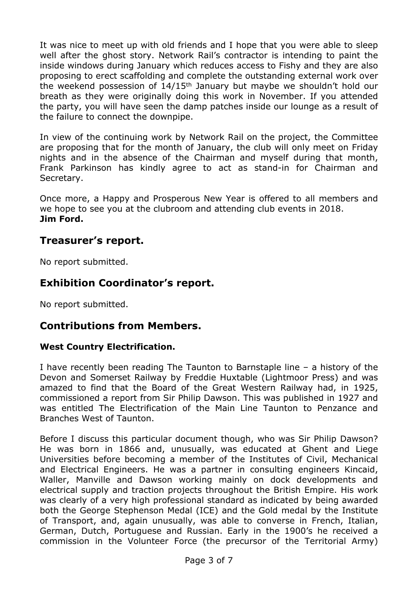It was nice to meet up with old friends and I hope that you were able to sleep well after the ghost story. Network Rail's contractor is intending to paint the inside windows during January which reduces access to Fishy and they are also proposing to erect scaffolding and complete the outstanding external work over the weekend possession of 14/15th January but maybe we shouldn't hold our breath as they were originally doing this work in November. If you attended the party, you will have seen the damp patches inside our lounge as a result of the failure to connect the downpipe.

In view of the continuing work by Network Rail on the project, the Committee are proposing that for the month of January, the club will only meet on Friday nights and in the absence of the Chairman and myself during that month, Frank Parkinson has kindly agree to act as stand-in for Chairman and Secretary.

Once more, a Happy and Prosperous New Year is offered to all members and we hope to see you at the clubroom and attending club events in 2018. **Jim Ford.**

## **Treasurer's report.**

No report submitted.

## **Exhibition Coordinator's report.**

No report submitted.

#### **Contributions from Members.**

#### **West Country Electrification.**

I have recently been reading The Taunton to Barnstaple line – a history of the Devon and Somerset Railway by Freddie Huxtable (Lightmoor Press) and was amazed to find that the Board of the Great Western Railway had, in 1925, commissioned a report from Sir Philip Dawson. This was published in 1927 and was entitled The Electrification of the Main Line Taunton to Penzance and Branches West of Taunton.

Before I discuss this particular document though, who was Sir Philip Dawson? He was born in 1866 and, unusually, was educated at Ghent and Liege Universities before becoming a member of the Institutes of Civil, Mechanical and Electrical Engineers. He was a partner in consulting engineers Kincaid, Waller, Manville and Dawson working mainly on dock developments and electrical supply and traction projects throughout the British Empire. His work was clearly of a very high professional standard as indicated by being awarded both the George Stephenson Medal (ICE) and the Gold medal by the Institute of Transport, and, again unusually, was able to converse in French, Italian, German, Dutch, Portuguese and Russian. Early in the 1900's he received a commission in the Volunteer Force (the precursor of the Territorial Army)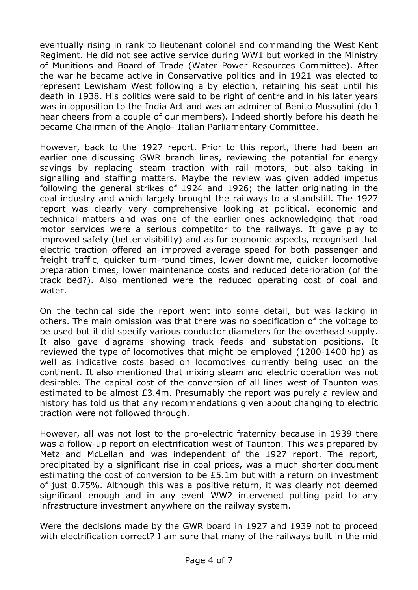eventually rising in rank to lieutenant colonel and commanding the West Kent Regiment. He did not see active service during WW1 but worked in the Ministry of Munitions and Board of Trade (Water Power Resources Committee). After the war he became active in Conservative politics and in 1921 was elected to represent Lewisham West following a by election, retaining his seat until his death in 1938. His politics were said to be right of centre and in his later years was in opposition to the India Act and was an admirer of Benito Mussolini (do I hear cheers from a couple of our members). Indeed shortly before his death he became Chairman of the Anglo- Italian Parliamentary Committee.

However, back to the 1927 report. Prior to this report, there had been an earlier one discussing GWR branch lines, reviewing the potential for energy savings by replacing steam traction with rail motors, but also taking in signalling and staffing matters. Maybe the review was given added impetus following the general strikes of 1924 and 1926; the latter originating in the coal industry and which largely brought the railways to a standstill. The 1927 report was clearly very comprehensive looking at political, economic and technical matters and was one of the earlier ones acknowledging that road motor services were a serious competitor to the railways. It gave play to improved safety (better visibility) and as for economic aspects, recognised that electric traction offered an improved average speed for both passenger and freight traffic, quicker turn-round times, lower downtime, quicker locomotive preparation times, lower maintenance costs and reduced deterioration (of the track bed?). Also mentioned were the reduced operating cost of coal and water.

On the technical side the report went into some detail, but was lacking in others. The main omission was that there was no specification of the voltage to be used but it did specify various conductor diameters for the overhead supply. It also gave diagrams showing track feeds and substation positions. It reviewed the type of locomotives that might be employed (1200-1400 hp) as well as indicative costs based on locomotives currently being used on the continent. It also mentioned that mixing steam and electric operation was not desirable. The capital cost of the conversion of all lines west of Taunton was estimated to be almost £3.4m. Presumably the report was purely a review and history has told us that any recommendations given about changing to electric traction were not followed through.

However, all was not lost to the pro-electric fraternity because in 1939 there was a follow-up report on electrification west of Taunton. This was prepared by Metz and McLellan and was independent of the 1927 report. The report, precipitated by a significant rise in coal prices, was a much shorter document estimating the cost of conversion to be £5.1m but with a return on investment of just 0.75%. Although this was a positive return, it was clearly not deemed significant enough and in any event WW2 intervened putting paid to any infrastructure investment anywhere on the railway system.

Were the decisions made by the GWR board in 1927 and 1939 not to proceed with electrification correct? I am sure that many of the railways built in the mid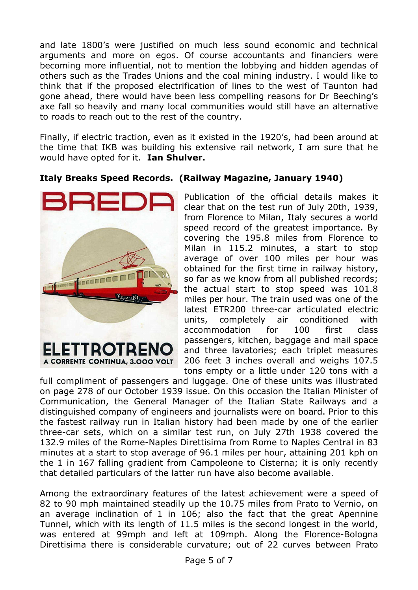and late 1800's were justified on much less sound economic and technical arguments and more on egos. Of course accountants and financiers were becoming more influential, not to mention the lobbying and hidden agendas of others such as the Trades Unions and the coal mining industry. I would like to think that if the proposed electrification of lines to the west of Taunton had gone ahead, there would have been less compelling reasons for Dr Beeching's axe fall so heavily and many local communities would still have an alternative to roads to reach out to the rest of the country.

Finally, if electric traction, even as it existed in the 1920's, had been around at the time that IKB was building his extensive rail network, I am sure that he would have opted for it. **Ian Shulver.**

#### **Italy Breaks Speed Records. (Railway Magazine, January 1940)**



Publication of the official details makes it clear that on the test run of July 20th, 1939, from Florence to Milan, Italy secures a world speed record of the greatest importance. By covering the 195.8 miles from Florence to Milan in 115.2 minutes, a start to stop average of over 100 miles per hour was obtained for the first time in railway history, so far as we know from all published records; the actual start to stop speed was 101.8 miles per hour. The train used was one of the latest ETR200 three-car articulated electric units, completely air conditioned with accommodation for 100 first class passengers, kitchen, baggage and mail space and three lavatories; each triplet measures 206 feet 3 inches overall and weighs 107.5 tons empty or a little under 120 tons with a

full compliment of passengers and luggage. One of these units was illustrated on page 278 of our October 1939 issue. On this occasion the Italian Minister of Communication, the General Manager of the Italian State Railways and a distinguished company of engineers and journalists were on board. Prior to this the fastest railway run in Italian history had been made by one of the earlier three-car sets, which on a similar test run, on July 27th 1938 covered the 132.9 miles of the Rome-Naples Direttisima from Rome to Naples Central in 83 minutes at a start to stop average of 96.1 miles per hour, attaining 201 kph on the 1 in 167 falling gradient from Campoleone to Cisterna; it is only recently that detailed particulars of the latter run have also become available.

Among the extraordinary features of the latest achievement were a speed of 82 to 90 mph maintained steadily up the 10.75 miles from Prato to Vernio, on an average inclination of 1 in 106; also the fact that the great Apennine Tunnel, which with its length of 11.5 miles is the second longest in the world, was entered at 99mph and left at 109mph. Along the Florence-Bologna Direttisima there is considerable curvature; out of 22 curves between Prato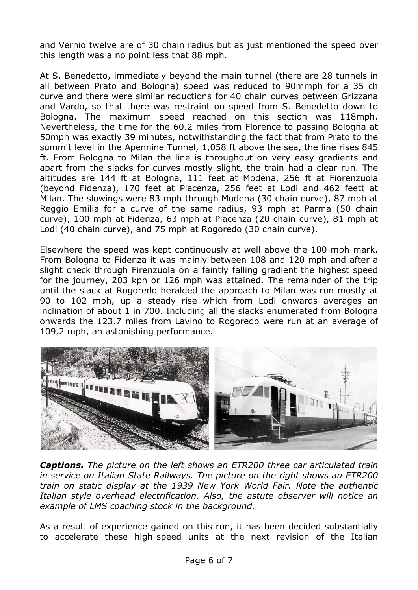and Vernio twelve are of 30 chain radius but as just mentioned the speed over this length was a no point less that 88 mph.

At S. Benedetto, immediately beyond the main tunnel (there are 28 tunnels in all between Prato and Bologna) speed was reduced to 90mmph for a 35 ch curve and there were similar reductions for 40 chain curves between Grizzana and Vardo, so that there was restraint on speed from S. Benedetto down to Bologna. The maximum speed reached on this section was 118mph. Nevertheless, the time for the 60.2 miles from Florence to passing Bologna at 50mph was exactly 39 minutes, notwithstanding the fact that from Prato to the summit level in the Apennine Tunnel, 1,058 ft above the sea, the line rises 845 ft. From Bologna to Milan the line is throughout on very easy gradients and apart from the slacks for curves mostly slight, the train had a clear run. The altitudes are 144 ft at Bologna, 111 feet at Modena, 256 ft at Fiorenzuola (beyond Fidenza), 170 feet at Piacenza, 256 feet at Lodi and 462 feett at Milan. The slowings were 83 mph through Modena (30 chain curve), 87 mph at Reggio Emilia for a curve of the same radius, 93 mph at Parma (50 chain curve), 100 mph at Fidenza, 63 mph at Piacenza (20 chain curve), 81 mph at Lodi (40 chain curve), and 75 mph at Rogoredo (30 chain curve).

Elsewhere the speed was kept continuously at well above the 100 mph mark. From Bologna to Fidenza it was mainly between 108 and 120 mph and after a slight check through Firenzuola on a faintly falling gradient the highest speed for the journey, 203 kph or 126 mph was attained. The remainder of the trip until the slack at Rogoredo heralded the approach to Milan was run mostly at 90 to 102 mph, up a steady rise which from Lodi onwards averages an inclination of about 1 in 700. Including all the slacks enumerated from Bologna onwards the 123.7 miles from Lavino to Rogoredo were run at an average of 109.2 mph, an astonishing performance.



*Captions. The picture on the left shows an ETR200 three car articulated train in service on Italian State Railways. The picture on the right shows an ETR200 train on static display at the 1939 New York World Fair. Note the authentic Italian style overhead electrification. Also, the astute observer will notice an example of LMS coaching stock in the background.*

As a result of experience gained on this run, it has been decided substantially to accelerate these high-speed units at the next revision of the Italian